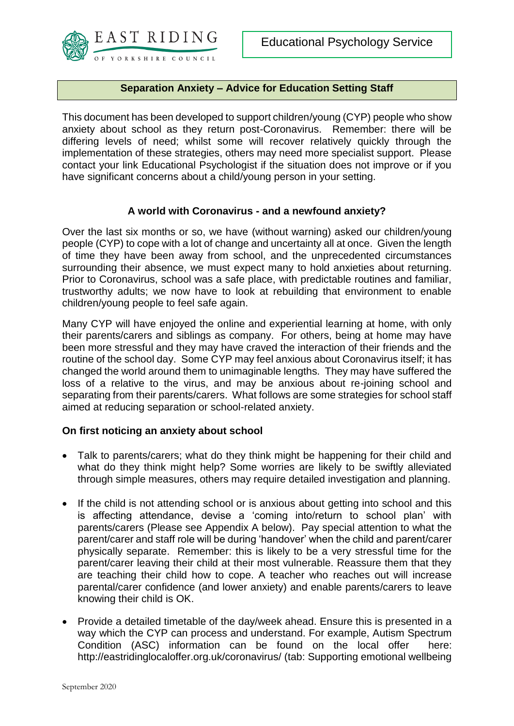

### **Separation Anxiety – Advice for Education Setting Staff**

This document has been developed to support children/young (CYP) people who show anxiety about school as they return post-Coronavirus. Remember: there will be differing levels of need; whilst some will recover relatively quickly through the implementation of these strategies, others may need more specialist support. Please contact your link Educational Psychologist if the situation does not improve or if you have significant concerns about a child/young person in your setting.

#### **A world with Coronavirus - and a newfound anxiety?**

Over the last six months or so, we have (without warning) asked our children/young people (CYP) to cope with a lot of change and uncertainty all at once. Given the length of time they have been away from school, and the unprecedented circumstances surrounding their absence, we must expect many to hold anxieties about returning. Prior to Coronavirus, school was a safe place, with predictable routines and familiar, trustworthy adults; we now have to look at rebuilding that environment to enable children/young people to feel safe again.

Many CYP will have enjoyed the online and experiential learning at home, with only their parents/carers and siblings as company. For others, being at home may have been more stressful and they may have craved the interaction of their friends and the routine of the school day. Some CYP may feel anxious about Coronavirus itself; it has changed the world around them to unimaginable lengths. They may have suffered the loss of a relative to the virus, and may be anxious about re-joining school and separating from their parents/carers. What follows are some strategies for school staff aimed at reducing separation or school-related anxiety.

#### **On first noticing an anxiety about school**

- Talk to parents/carers; what do they think might be happening for their child and what do they think might help? Some worries are likely to be swiftly alleviated through simple measures, others may require detailed investigation and planning.
- If the child is not attending school or is anxious about getting into school and this is affecting attendance, devise a 'coming into/return to school plan' with parents/carers (Please see Appendix A below). Pay special attention to what the parent/carer and staff role will be during 'handover' when the child and parent/carer physically separate. Remember: this is likely to be a very stressful time for the parent/carer leaving their child at their most vulnerable. Reassure them that they are teaching their child how to cope. A teacher who reaches out will increase parental/carer confidence (and lower anxiety) and enable parents/carers to leave knowing their child is OK.
- Provide a detailed timetable of the day/week ahead. Ensure this is presented in a way which the CYP can process and understand. For example, Autism Spectrum Condition (ASC) information can be found on the local offer here: <http://eastridinglocaloffer.org.uk/coronavirus/> (tab: Supporting emotional wellbeing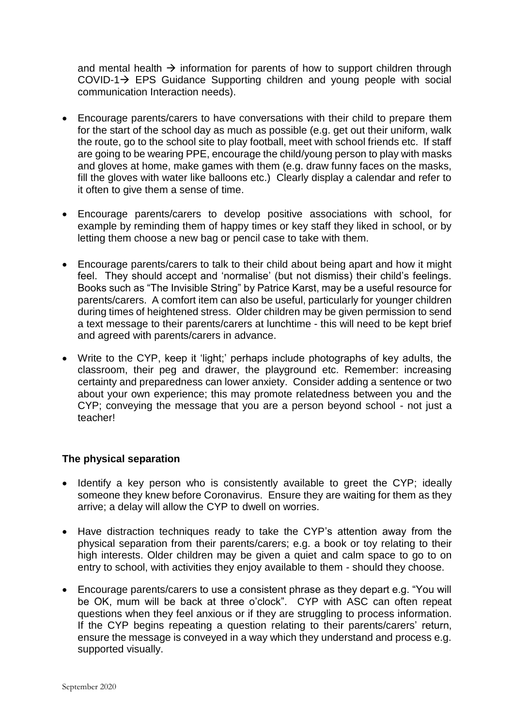and mental health  $\rightarrow$  information for parents of how to support children through COVID-1 $\rightarrow$  EPS Guidance Supporting children and young people with social communication Interaction needs).

- Encourage parents/carers to have conversations with their child to prepare them for the start of the school day as much as possible (e.g. get out their uniform, walk the route, go to the school site to play football, meet with school friends etc. If staff are going to be wearing PPE, encourage the child/young person to play with masks and gloves at home, make games with them (e.g. draw funny faces on the masks, fill the gloves with water like balloons etc.) Clearly display a calendar and refer to it often to give them a sense of time.
- Encourage parents/carers to develop positive associations with school, for example by reminding them of happy times or key staff they liked in school, or by letting them choose a new bag or pencil case to take with them.
- Encourage parents/carers to talk to their child about being apart and how it might feel. They should accept and 'normalise' (but not dismiss) their child's feelings. Books such as "The Invisible String" by Patrice Karst, may be a useful resource for parents/carers. A comfort item can also be useful, particularly for younger children during times of heightened stress. Older children may be given permission to send a text message to their parents/carers at lunchtime - this will need to be kept brief and agreed with parents/carers in advance.
- Write to the CYP, keep it 'light;' perhaps include photographs of key adults, the classroom, their peg and drawer, the playground etc. Remember: increasing certainty and preparedness can lower anxiety. Consider adding a sentence or two about your own experience; this may promote relatedness between you and the CYP; conveying the message that you are a person beyond school - not just a teacher!

#### **The physical separation**

- Identify a key person who is consistently available to greet the CYP; ideally someone they knew before Coronavirus. Ensure they are waiting for them as they arrive; a delay will allow the CYP to dwell on worries.
- Have distraction techniques ready to take the CYP's attention away from the physical separation from their parents/carers; e.g. a book or toy relating to their high interests. Older children may be given a quiet and calm space to go to on entry to school, with activities they enjoy available to them - should they choose.
- Encourage parents/carers to use a consistent phrase as they depart e.g. "You will be OK, mum will be back at three o'clock". CYP with ASC can often repeat questions when they feel anxious or if they are struggling to process information. If the CYP begins repeating a question relating to their parents/carers' return, ensure the message is conveyed in a way which they understand and process e.g. supported visually.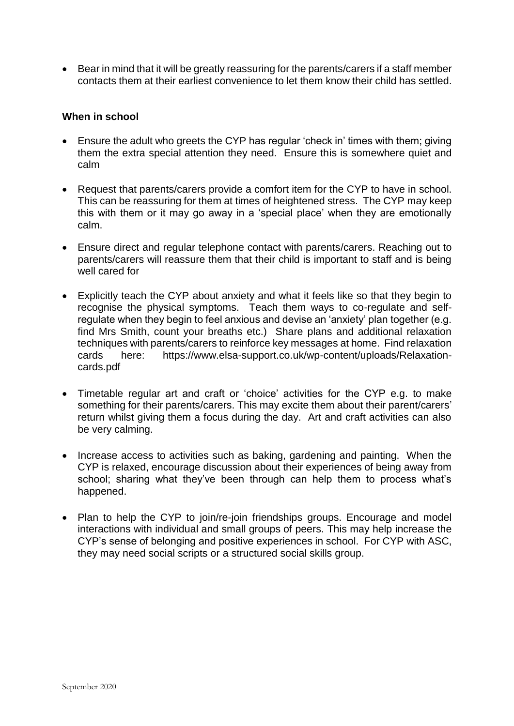• Bear in mind that it will be greatly reassuring for the parents/carers if a staff member contacts them at their earliest convenience to let them know their child has settled.

#### **When in school**

- Ensure the adult who greets the CYP has regular 'check in' times with them; giving them the extra special attention they need. Ensure this is somewhere quiet and calm
- Request that parents/carers provide a comfort item for the CYP to have in school. This can be reassuring for them at times of heightened stress. The CYP may keep this with them or it may go away in a 'special place' when they are emotionally calm.
- Ensure direct and regular telephone contact with parents/carers. Reaching out to parents/carers will reassure them that their child is important to staff and is being well cared for
- Explicitly teach the CYP about anxiety and what it feels like so that they begin to recognise the physical symptoms. Teach them ways to co-regulate and selfregulate when they begin to feel anxious and devise an 'anxiety' plan together (e.g. find Mrs Smith, count your breaths etc.) Share plans and additional relaxation techniques with parents/carers to reinforce key messages at home. Find relaxation cards here: [https://www.elsa-support.co.uk/wp-content/uploads/Relaxation](https://www.elsa-support.co.uk/wp-content/uploads/Relaxation-cards.pdf)[cards.pdf](https://www.elsa-support.co.uk/wp-content/uploads/Relaxation-cards.pdf)
- Timetable regular art and craft or 'choice' activities for the CYP e.g. to make something for their parents/carers. This may excite them about their parent/carers' return whilst giving them a focus during the day. Art and craft activities can also be very calming.
- Increase access to activities such as baking, gardening and painting. When the CYP is relaxed, encourage discussion about their experiences of being away from school; sharing what they've been through can help them to process what's happened.
- Plan to help the CYP to join/re-join friendships groups. Encourage and model interactions with individual and small groups of peers. This may help increase the CYP's sense of belonging and positive experiences in school. For CYP with ASC, they may need social scripts or a structured social skills group.